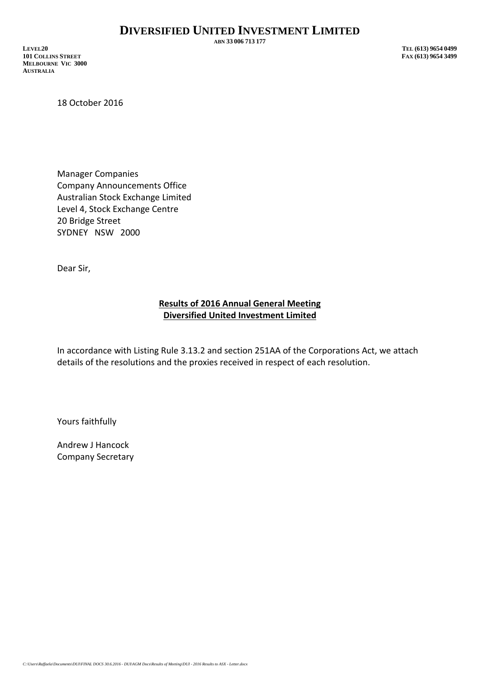**ABN 33 006 713 177**

**LEVEL20 TEL (613) 9654 0499 101 COLLINS STREET MELBOURNE VIC 3000 AUSTRALIA**

18 October 2016

Manager Companies Company Announcements Office Australian Stock Exchange Limited Level 4, Stock Exchange Centre 20 Bridge Street SYDNEY NSW 2000

Dear Sir,

## **Results of 2016 Annual General Meeting Diversified United Investment Limited**

In accordance with Listing Rule 3.13.2 and section 251AA of the Corporations Act, we attach details of the resolutions and the proxies received in respect of each resolution.

Yours faithfully

Andrew J Hancock Company Secretary